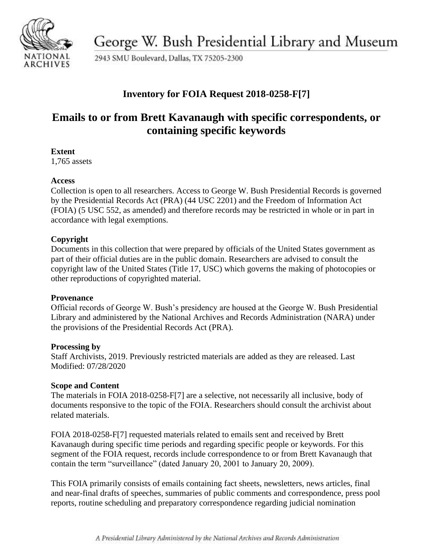

George W. Bush Presidential Library and Museum

2943 SMU Boulevard, Dallas, TX 75205-2300

## **Inventory for FOIA Request 2018-0258-F[7]**

# **Emails to or from Brett Kavanaugh with specific correspondents, or containing specific keywords**

### **Extent**

1,765 assets

### **Access**

Collection is open to all researchers. Access to George W. Bush Presidential Records is governed by the Presidential Records Act (PRA) (44 USC 2201) and the Freedom of Information Act (FOIA) (5 USC 552, as amended) and therefore records may be restricted in whole or in part in accordance with legal exemptions.

## **Copyright**

Documents in this collection that were prepared by officials of the United States government as part of their official duties are in the public domain. Researchers are advised to consult the copyright law of the United States (Title 17, USC) which governs the making of photocopies or other reproductions of copyrighted material.

### **Provenance**

Official records of George W. Bush's presidency are housed at the George W. Bush Presidential Library and administered by the National Archives and Records Administration (NARA) under the provisions of the Presidential Records Act (PRA).

### **Processing by**

Staff Archivists, 2019. Previously restricted materials are added as they are released. Last Modified: 07/28/2020

### **Scope and Content**

The materials in FOIA 2018-0258-F[7] are a selective, not necessarily all inclusive, body of documents responsive to the topic of the FOIA. Researchers should consult the archivist about related materials.

FOIA 2018-0258-F[7] requested materials related to emails sent and received by Brett Kavanaugh during specific time periods and regarding specific people or keywords. For this segment of the FOIA request, records include correspondence to or from Brett Kavanaugh that contain the term "surveillance" (dated January 20, 2001 to January 20, 2009).

This FOIA primarily consists of emails containing fact sheets, newsletters, news articles, final and near-final drafts of speeches, summaries of public comments and correspondence, press pool reports, routine scheduling and preparatory correspondence regarding judicial nomination